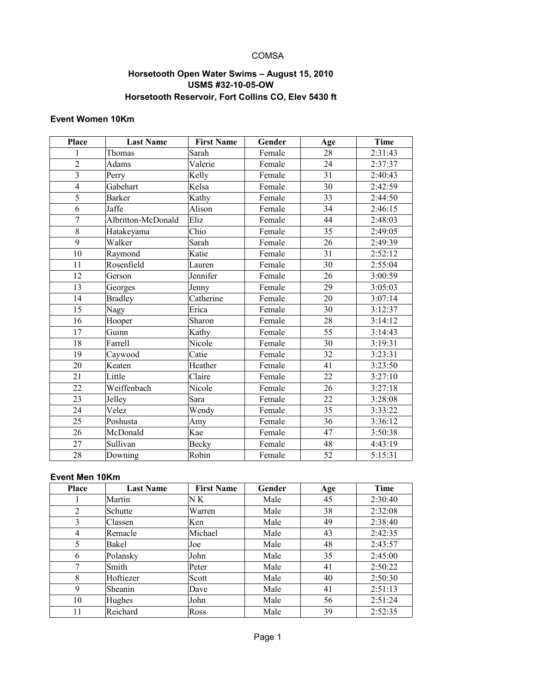# **USMS #32-10-05-OW Horsetooth Open Water Swims – August 15, 2010 Horsetooth Reservoir, Fort Collins CO, Elev 5430 ft**

#### **Event Women 10Km**

| Place          | <b>Last Name</b>   | <b>First Name</b> | Gender | Age | Time    |
|----------------|--------------------|-------------------|--------|-----|---------|
| 1              | Thomas             | Sarah             | Female | 28  | 2:31:43 |
| $\overline{2}$ | Adams              | Valerie           | Female | 24  | 2:37:37 |
| 3              | Perry              | Kelly             | Female | 31  | 2:40:43 |
| $\overline{4}$ | Gabehart           | Kelsa             | Female | 30  | 2:42:59 |
| 5              | <b>Barker</b>      | Kathy             | Female | 33  | 2:44:50 |
| 6              | Jaffe              | Alison            | Female | 34  | 2:46:15 |
| $\overline{7}$ | Albritton-McDonald | Eliz              | Female | 44  | 2:48:03 |
| 8              | Hatakeyama         | Chio              | Female | 35  | 2:49:05 |
| 9              | Walker             | Sarah             | Female | 26  | 2:49:39 |
| 10             | Raymond            | Katie             | Female | 31  | 2:52:12 |
| 11             | Rosenfield         | Lauren            | Female | 30  | 2:55:04 |
| 12             | Gerson             | Jennifer          | Female | 26  | 3:00:59 |
| 13             | Georges            | Jenny             | Female | 29  | 3:05:03 |
| 14             | <b>Bradley</b>     | Catherine         | Female | 20  | 3:07:14 |
| 15             | Nagy               | Erica             | Female | 30  | 3:12:37 |
| 16             | Hooper             | Sharon            | Female | 28  | 3:14:12 |
| 17             | Guinn              | Kathy             | Female | 55  | 3:14:43 |
| 18             | Farrell            | Nicole            | Female | 30  | 3:19:31 |
| 19             | Caywood            | Catie             | Female | 32  | 3:23:31 |
| 20             | Keaten             | Heather           | Female | 41  | 3:23:50 |
| 21             | Little             | Claire            | Female | 22  | 3:27:10 |
| 22             | Weiffenbach        | Nicole            | Female | 26  | 3:27:18 |
| 23             | Jelley             | Sara              | Female | 22  | 3:28:08 |
| 24             | Velez              | Wendy             | Female | 35  | 3:33:22 |
| 25             | Poshusta           | Amy               | Female | 36  | 3:36:12 |
| 26             | McDonald           | Kae               | Female | 47  | 3:50:38 |
| 27             | Sullivan           | Becky             | Female | 48  | 4:43:19 |
| 28             | Downing            | Robin             | Female | 52  | 5:15:31 |

## **Event Men 10Km**

| <b>Place</b> | <b>Last Name</b> | <b>First Name</b> | Gender | Age | <b>Time</b> |
|--------------|------------------|-------------------|--------|-----|-------------|
|              | Martin           | N K               | Male   | 45  | 2:30:40     |
| 2            | Schutte          | Warren            | Male   | 38  | 2:32:08     |
| 3            | Classen          | Ken               | Male   | 49  | 2:38:40     |
| 4            | Remacle          | Michael           | Male   | 43  | 2:42:35     |
| 5            | Bakel            | Joe               | Male   | 48  | 2:43:57     |
| 6            | Polansky         | John              | Male   | 35  | 2:45:00     |
| 7            | Smith            | Peter             | Male   | 41  | 2:50:22     |
| 8            | Hoftiezer        | Scott             | Male   | 40  | 2:50:30     |
| 9            | Sheanin          | Dave              | Male   | 41  | 2:51:13     |
| 10           | Hughes           | John              | Male   | 56  | 2:51:24     |
| 11           | Reichard         | Ross              | Male   | 39  | 2:52:35     |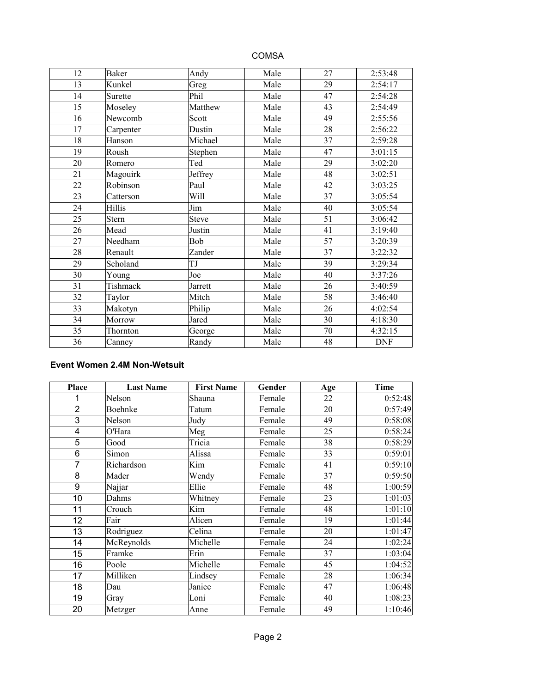| 12 | <b>Baker</b> | Andy         | Male | 27 | 2:53:48    |
|----|--------------|--------------|------|----|------------|
| 13 | Kunkel       | Greg         | Male | 29 | 2:54:17    |
| 14 | Surette      | Phil         | Male | 47 | 2:54:28    |
| 15 | Moseley      | Matthew      | Male | 43 | 2:54:49    |
| 16 | Newcomb      | Scott        | Male | 49 | 2:55:56    |
| 17 | Carpenter    | Dustin       | Male | 28 | 2:56:22    |
| 18 | Hanson       | Michael      | Male | 37 | 2:59:28    |
| 19 | Roush        | Stephen      | Male | 47 | 3:01:15    |
| 20 | Romero       | Ted          | Male | 29 | 3:02:20    |
| 21 | Magouirk     | Jeffrey      | Male | 48 | 3:02:51    |
| 22 | Robinson     | Paul         | Male | 42 | 3:03:25    |
| 23 | Catterson    | Will         | Male | 37 | 3:05:54    |
| 24 | Hillis       | Jim          | Male | 40 | 3:05:54    |
| 25 | Stern        | <b>Steve</b> | Male | 51 | 3:06:42    |
| 26 | Mead         | Justin       | Male | 41 | 3:19:40    |
| 27 | Needham      | Bob          | Male | 57 | 3:20:39    |
| 28 | Renault      | Zander       | Male | 37 | 3:22:32    |
| 29 | Scholand     | TJ           | Male | 39 | 3:29:34    |
| 30 | Young        | Joe          | Male | 40 | 3:37:26    |
| 31 | Tishmack     | Jarrett      | Male | 26 | 3:40:59    |
| 32 | Taylor       | Mitch        | Male | 58 | 3:46:40    |
| 33 | Makotyn      | Philip       | Male | 26 | 4:02:54    |
| 34 | Morrow       | Jared        | Male | 30 | 4:18:30    |
| 35 | Thornton     | George       | Male | 70 | 4:32:15    |
| 36 | Canney       | Randy        | Male | 48 | <b>DNF</b> |

## **Event Women 2.4M Non-Wetsuit**

| <b>Place</b>   | <b>Last Name</b> | <b>First Name</b> | Gender | Age | Time    |
|----------------|------------------|-------------------|--------|-----|---------|
|                | Nelson           | Shauna            | Female | 22  | 0:52:48 |
| $\overline{2}$ | Boehnke          | Tatum             | Female | 20  | 0:57:49 |
| 3              | Nelson           | Judy              | Female | 49  | 0:58:08 |
| 4              | O'Hara           | Meg               | Female | 25  | 0:58:24 |
| 5              | Good             | Tricia            | Female | 38  | 0:58:29 |
| 6              | Simon            | Alissa            | Female | 33  | 0:59:01 |
| 7              | Richardson       | Kim               | Female | 41  | 0:59:10 |
| 8              | Mader            | Wendy             | Female | 37  | 0:59:50 |
| 9              | Najjar           | Ellie             | Female | 48  | 1:00:59 |
| 10             | Dahms            | Whitney           | Female | 23  | 1:01:03 |
| 11             | Crouch           | Kim               | Female | 48  | 1:01:10 |
| 12             | Fair             | Alicen            | Female | 19  | 1:01:44 |
| 13             | Rodriguez        | Celina            | Female | 20  | 1:01:47 |
| 14             | McReynolds       | Michelle          | Female | 24  | 1:02:24 |
| 15             | Framke           | Erin              | Female | 37  | 1:03:04 |
| 16             | Poole            | Michelle          | Female | 45  | 1:04:52 |
| 17             | Milliken         | Lindsey           | Female | 28  | 1:06:34 |
| 18             | Dau              | Janice            | Female | 47  | 1:06:48 |
| 19             | Gray             | Loni              | Female | 40  | 1:08:23 |
| 20             | Metzger          | Anne              | Female | 49  | 1:10:46 |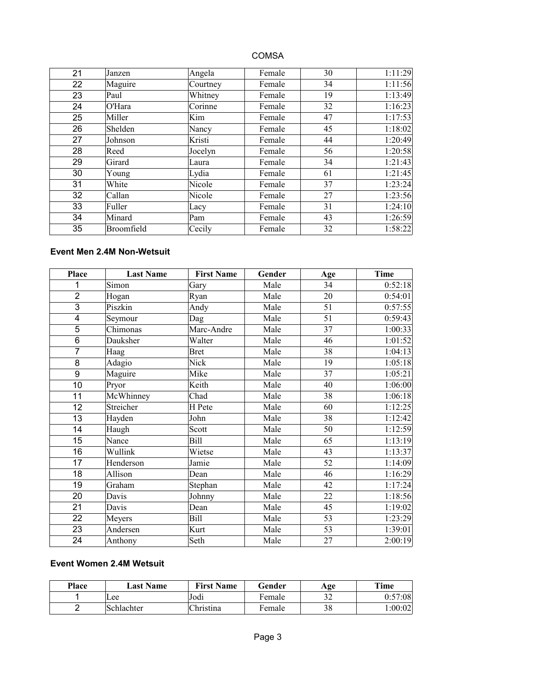| 21 | Janzen     | Angela   | Female | 30 | 1:11:29 |
|----|------------|----------|--------|----|---------|
| 22 | Maguire    | Courtney | Female | 34 | 1:11:56 |
| 23 | Paul       | Whitney  | Female | 19 | 1:13:49 |
| 24 | O'Hara     | Corinne  | Female | 32 | 1:16:23 |
| 25 | Miller     | Kim      | Female | 47 | 1:17:53 |
| 26 | Shelden    | Nancy    | Female | 45 | 1:18:02 |
| 27 | Johnson    | Kristi   | Female | 44 | 1:20:49 |
| 28 | Reed       | Jocelyn  | Female | 56 | 1:20:58 |
| 29 | Girard     | Laura    | Female | 34 | 1:21:43 |
| 30 | Young      | Lydia    | Female | 61 | 1:21:45 |
| 31 | White      | Nicole   | Female | 37 | 1:23:24 |
| 32 | Callan     | Nicole   | Female | 27 | 1:23:56 |
| 33 | Fuller     | Lacy     | Female | 31 | 1:24:10 |
| 34 | Minard     | Pam      | Female | 43 | 1:26:59 |
| 35 | Broomfield | Cecily   | Female | 32 | 1:58:22 |

# **Event Men 2.4M Non-Wetsuit**

| <b>Place</b>   | <b>Last Name</b>             | <b>First Name</b> | Gender | Age    | <b>Time</b> |
|----------------|------------------------------|-------------------|--------|--------|-------------|
| 1              | Simon                        | Gary              | Male   | 34     | 0:52:18     |
| $\overline{2}$ | Hogan                        | Ryan              | Male   | $20\,$ | 0:54:01     |
| $\overline{3}$ | Piszkin                      | Andy              | Male   | 51     | 0:57:55     |
| 4              | Seymour                      | Dag               | Male   | 51     | 0:59:43     |
| 5              | $\overline{\text{Chimonas}}$ | Marc-Andre        | Male   | 37     | 1:00:33     |
| $\overline{6}$ | Dauksher                     | Walter            | Male   | 46     | 1:01:52     |
| $\overline{7}$ | Haag                         | <b>Bret</b>       | Male   | 38     | 1:04:13     |
| 8              | Adagio                       | Nick              | Male   | 19     | 1:05:18     |
| 9              | Maguire                      | Mike              | Male   | 37     | 1:05:21     |
| 10             | Pryor                        | Keith             | Male   | 40     | 1:06:00     |
| 11             | McWhinney                    | Chad              | Male   | 38     | 1:06:18     |
| 12             | Streicher                    | H Pete            | Male   | 60     | 1:12:25     |
| 13             | Hayden                       | John              | Male   | 38     | 1:12:42     |
| 14             | Haugh                        | Scott             | Male   | 50     | 1:12:59     |
| 15             | Nance                        | Bill              | Male   | 65     | 1:13:19     |
| 16             | Wullink                      | Wietse            | Male   | 43     | 1:13:37     |
| 17             | Henderson                    | Jamie             | Male   | 52     | 1:14:09     |
| 18             | Allison                      | Dean              | Male   | 46     | 1:16:29     |
| 19             | Graham                       | Stephan           | Male   | 42     | 1:17:24     |
| 20             | Davis                        | Johnny            | Male   | 22     | 1:18:56     |
| 21             | Davis                        | Dean              | Male   | 45     | 1:19:02     |
| 22             | Meyers                       | Bill              | Male   | 53     | 1:23:29     |
| 23             | Andersen                     | Kurt              | Male   | 53     | 1:39:01     |
| 24             | Anthony                      | Seth              | Male   | 27     | 2:00:19     |

## **Event Women 2.4M Wetsuit**

| Place | <b>Last Name</b>  | <b>First Name</b> | Gender | Age       | Time   |
|-------|-------------------|-------------------|--------|-----------|--------|
|       | Lee .             | Jodi              | Female | ົ         | ':08   |
|       | <b>Schlachter</b> | <b>Christina</b>  | Female | າ ດ<br>эŏ | :00:02 |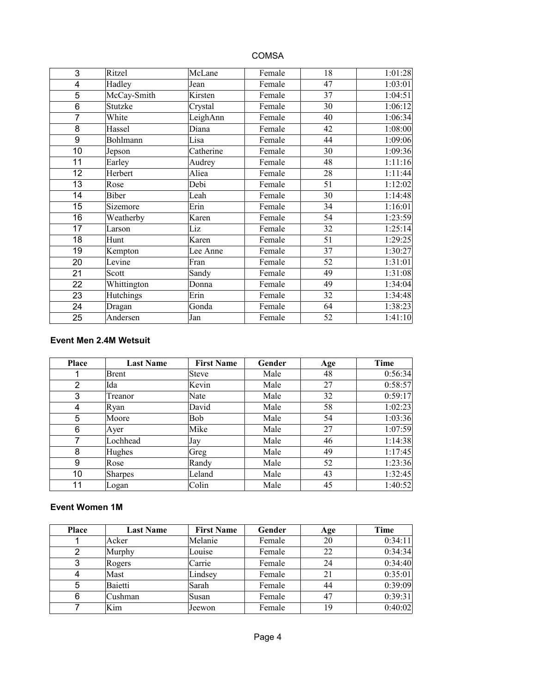| 3              | Ritzel      | McLane    | Female | 18 | 1:01:28 |
|----------------|-------------|-----------|--------|----|---------|
| 4              | Hadley      | Jean      | Female | 47 | 1:03:01 |
| 5              | McCay-Smith | Kirsten   | Female | 37 | 1:04:51 |
| 6              | Stutzke     | Crystal   | Female | 30 | 1:06:12 |
| $\overline{7}$ | White       | LeighAnn  | Female | 40 | 1:06:34 |
| 8              | Hassel      | Diana     | Female | 42 | 1:08:00 |
| 9              | Bohlmann    | Lisa      | Female | 44 | 1:09:06 |
| 10             | Jepson      | Catherine | Female | 30 | 1:09:36 |
| 11             | Earley      | Audrey    | Female | 48 | 1:11:16 |
| 12             | Herbert     | Aliea     | Female | 28 | 1:11:44 |
| 13             | Rose        | Debi      | Female | 51 | 1:12:02 |
| 14             | Biber       | Leah      | Female | 30 | 1:14:48 |
| 15             | Sizemore    | Erin      | Female | 34 | 1:16:01 |
| 16             | Weatherby   | Karen     | Female | 54 | 1:23:59 |
| 17             | Larson      | Liz       | Female | 32 | 1:25:14 |
| 18             | Hunt        | Karen     | Female | 51 | 1:29:25 |
| 19             | Kempton     | Lee Anne  | Female | 37 | 1:30:27 |
| 20             | Levine      | Fran      | Female | 52 | 1:31:01 |
| 21             | Scott       | Sandy     | Female | 49 | 1:31:08 |
| 22             | Whittington | Donna     | Female | 49 | 1:34:04 |
| 23             | Hutchings   | Erin      | Female | 32 | 1:34:48 |
| 24             | Dragan      | Gonda     | Female | 64 | 1:38:23 |
| 25             | Andersen    | Jan       | Female | 52 | 1:41:10 |
|                |             |           |        |    |         |

#### **Event Men 2.4M Wetsuit**

| Place | <b>Last Name</b> | <b>First Name</b> | Gender | Age | Time    |
|-------|------------------|-------------------|--------|-----|---------|
|       | <b>Brent</b>     | <b>Steve</b>      | Male   | 48  | 0:56:34 |
| 2     | Ida              | Kevin             | Male   | 27  | 0:58:57 |
| 3     | Treanor          | Nate              | Male   | 32  | 0:59:17 |
| 4     | Ryan             | David             | Male   | 58  | 1:02:23 |
| 5     | Moore            | Bob               | Male   | 54  | 1:03:36 |
| 6     | Aver             | Mike              | Male   | 27  | 1:07:59 |
| 7     | Lochhead         | Jay               | Male   | 46  | 1:14:38 |
| 8     | Hughes           | Greg              | Male   | 49  | 1:17:45 |
| 9     | Rose             | Randy             | Male   | 52  | 1:23:36 |
| 10    | Sharpes          | Leland            | Male   | 43  | 1:32:45 |
| 11    | Logan            | Colin             | Male   | 45  | 1:40:52 |

## **Event Women 1M**

| <b>Place</b> | <b>Last Name</b> | <b>First Name</b> | Gender | Age | Time    |
|--------------|------------------|-------------------|--------|-----|---------|
|              | Acker            | Melanie           | Female | 20  | 0:34:11 |
| 2            | Murphy           | Louise            | Female | 22  | 0:34:34 |
| 3            | Rogers           | Carrie            | Female | 24  | 0:34:40 |
| 4            | Mast             | Lindsey           | Female | 21  | 0:35:01 |
| 5            | Baietti          | Sarah             | Female | 44  | 0:39:09 |
| 6            | Cushman          | Susan             | Female | 47  | 0:39:31 |
|              | Kim              | Jeewon            | Female | 19  | 0:40:02 |